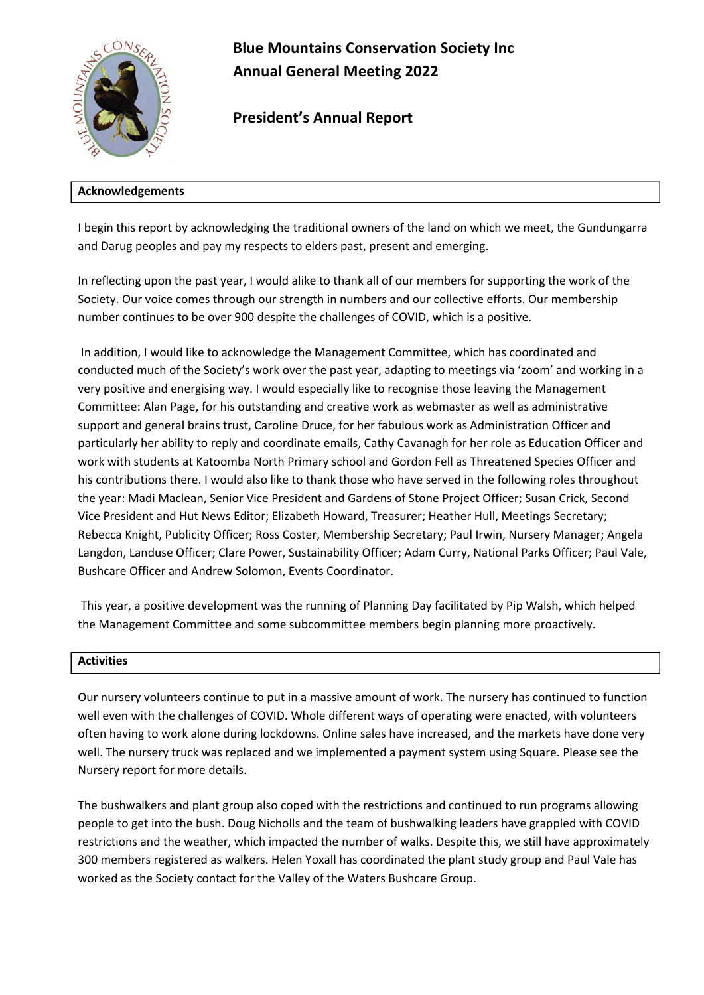

**Blue Mountains Conservation Society Inc Annual General Meeting 2022** 

**President's Annual Report**

# **Acknowledgements**

I begin this report by acknowledging the traditional owners of the land on which we meet, the Gundungarra and Darug peoples and pay my respects to elders past, present and emerging.

In reflecting upon the past year, I would alike to thank all of our members for supporting the work of the Society. Our voice comes through our strength in numbers and our collective efforts. Our membership number continues to be over 900 despite the challenges of COVID, which is a positive.

In addition, I would like to acknowledge the Management Committee, which has coordinated and conducted much of the Society's work over the past year, adapting to meetings via 'zoom' and working in a very positive and energising way. I would especially like to recognise those leaving the Management Committee: Alan Page, for his outstanding and creative work as webmaster as well as administrative support and general brains trust, Caroline Druce, for her fabulous work as Administration Officer and particularly her ability to reply and coordinate emails, Cathy Cavanagh for her role as Education Officer and work with students at Katoomba North Primary school and Gordon Fell as Threatened Species Officer and his contributions there. I would also like to thank those who have served in the following roles throughout the year: Madi Maclean, Senior Vice President and Gardens of Stone Project Officer; Susan Crick, Second Vice President and Hut News Editor; Elizabeth Howard, Treasurer; Heather Hull, Meetings Secretary; Rebecca Knight, Publicity Officer; Ross Coster, Membership Secretary; Paul Irwin, Nursery Manager; Angela Langdon, Landuse Officer; Clare Power, Sustainability Officer; Adam Curry, National Parks Officer; Paul Vale, Bushcare Officer and Andrew Solomon, Events Coordinator.

This year, a positive development was the running of Planning Day facilitated by Pip Walsh, which helped the Management Committee and some subcommittee members begin planning more proactively.

# **Activities**

Our nursery volunteers continue to put in a massive amount of work. The nursery has continued to function well even with the challenges of COVID. Whole different ways of operating were enacted, with volunteers often having to work alone during lockdowns. Online sales have increased, and the markets have done very well. The nursery truck was replaced and we implemented a payment system using Square. Please see the Nursery report for more details.

The bushwalkers and plant group also coped with the restrictions and continued to run programs allowing people to get into the bush. Doug Nicholls and the team of bushwalking leaders have grappled with COVID restrictions and the weather, which impacted the number of walks. Despite this, we still have approximately 300 members registered as walkers. Helen Yoxall has coordinated the plant study group and Paul Vale has worked as the Society contact for the Valley of the Waters Bushcare Group.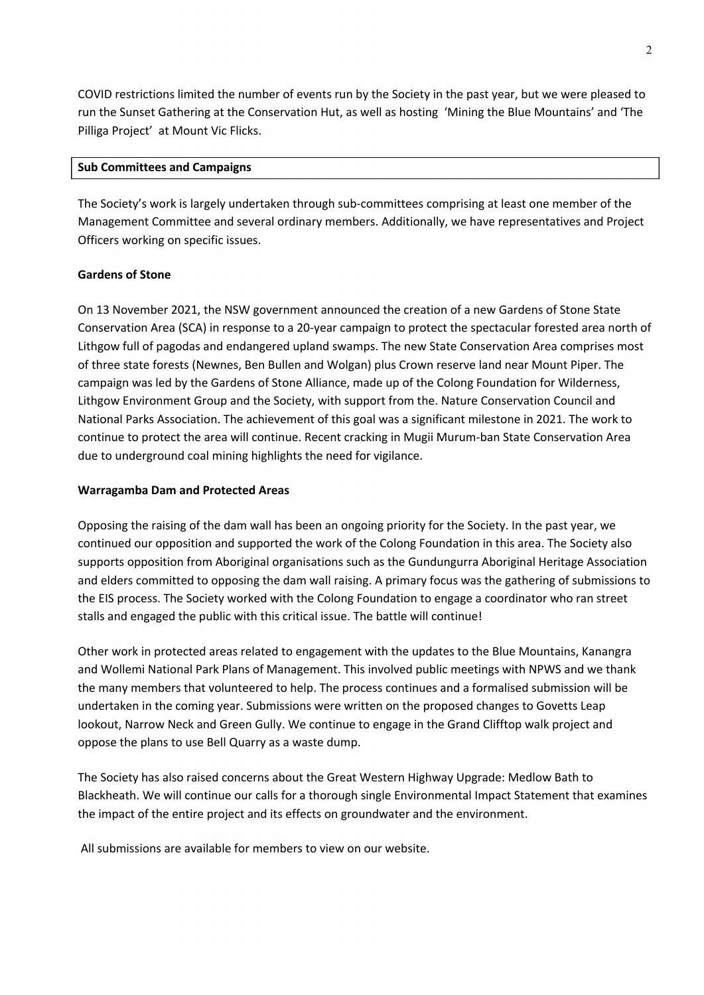COVID restrictions limited the number of events run by the Society in the past year, but we were pleased to run the Sunset Gathering at the Conservation Hut, as well as hosting 'Mining the Blue Mountains' and 'The Pilliga Project' at Mount Vic Flicks.

### **Sub Committees and Campaigns**

The Society's work is largely undertaken through sub-committees comprising at least one member of the Management Committee and several ordinary members. Additionally, we have representatives and Project Officers working on specific issues.

#### **Gardens of Stone**

On 13 November 2021, the NSW government announced the creation of a new Gardens of Stone State Conservation Area (SCA) in response to a 20-year campaign to protect the spectacular forested area north of Lithgow full of pagodas and endangered upland swamps. The new State Conservation Area comprises most of three state forests (Newnes, Ben Bullen and Wolgan) plus Crown reserve land near Mount Piper. The campaign was led by the Gardens of Stone Alliance, made up of the Colong Foundation for Wilderness, Lithgow Environment Group and the Society, with support from the. Nature Conservation Council and National Parks Association. The achievement of this goal was a significant milestone in 2021. The work to continue to protect the area will continue. Recent cracking in Mugii Murum-ban State Conservation Area due to underground coal mining highlights the need for vigilance.

#### **Warragamba Dam and Protected Areas**

Opposing the raising of the dam wall has been an ongoing priority for the Society. In the past year, we continued our opposition and supported the work of the Colong Foundation in this area. The Society also supports opposition from Aboriginal organisations such as the Gundungurra Aboriginal Heritage Association and elders committed to opposing the dam wall raising. A primary focus was the gathering of submissions to the EIS process. The Society worked with the Colong Foundation to engage a coordinator who ran street stalls and engaged the public with this critical issue. The battle will continue!

Other work in protected areas related to engagement with the updates to the Blue Mountains, Kanangra and Wollemi National Park Plans of Management. This involved public meetings with NPWS and we thank the many members that volunteered to help. The process continues and a formalised submission will be undertaken in the coming year. Submissions were written on the proposed changes to Govetts Leap lookout, Narrow Neck and Green Gully. We continue to engage in the Grand Clifftop walk project and oppose the plans to use Bell Quarry as a waste dump.

The Society has also raised concerns about the Great Western Highway Upgrade: Medlow Bath to Blackheath. We will continue our calls for a thorough single Environmental Impact Statement that examines the impact of the entire project and its effects on groundwater and the environment.

All submissions are available for members to view on our website.